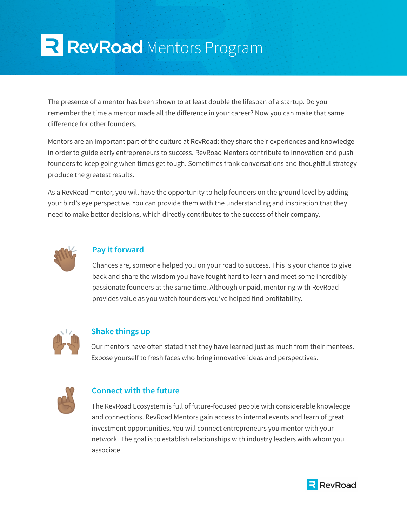# R RevRoad Mentors Program

The presence of a mentor has been shown to at least double the lifespan of a startup. Do you remember the time a mentor made all the difference in your career? Now you can make that same difference for other founders.

Mentors are an important part of the culture at RevRoad: they share their experiences and knowledge in order to guide early entrepreneurs to success. RevRoad Mentors contribute to innovation and push founders to keep going when times get tough. Sometimes frank conversations and thoughtful strategy produce the greatest results.

As a RevRoad mentor, you will have the opportunity to help founders on the ground level by adding your bird's eye perspective. You can provide them with the understanding and inspiration that they need to make better decisions, which directly contributes to the success of their company.



## **Pay it forward**

Chances are, someone helped you on your road to success. This is your chance to give back and share the wisdom you have fought hard to learn and meet some incredibly passionate founders at the same time. Although unpaid, mentoring with RevRoad provides value as you watch founders you've helped find profitability.



#### **Shake things up**

Our mentors have often stated that they have learned just as much from their mentees. Expose yourself to fresh faces who bring innovative ideas and perspectives.



## **Connect with the future**

The RevRoad Ecosystem is full of future-focused people with considerable knowledge and connections. RevRoad Mentors gain access to internal events and learn of great investment opportunities. You will connect entrepreneurs you mentor with your network. The goal is to establish relationships with industry leaders with whom you associate.

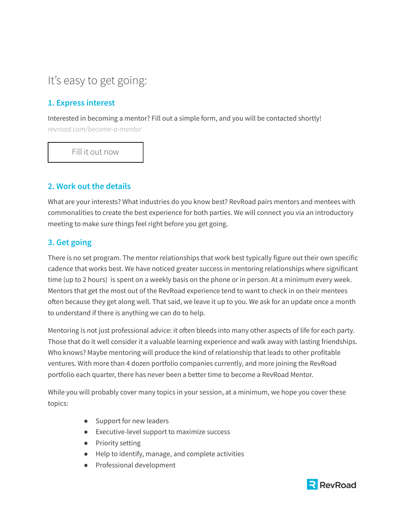# It's easy to get going:

# **1. Express interest**

Interested in becoming a mentor? Fill out a simple form, and you will be contacted shortly! *[revroad.com/become-a-mentor](https://www.revroad.com/become-a-mentor/)*

Fill it out [now](https://www.revroad.com/become-a-mentor/)

## **2. Work out the details**

What are your interests? What industries do you know best? RevRoad pairs mentors and mentees with commonalities to create the best experience for both parties. We will connect you via an introductory meeting to make sure things feel right before you get going.

## **3. Get going**

There is no set program. The mentor relationships that work best typically figure out their own specific cadence that works best. We have noticed greater success in mentoring relationships where significant time (up to 2 hours) is spent on a weekly basis on the phone or in person. At a minimum every week. Mentors that get the most out of the RevRoad experience tend to want to check in on their mentees often because they get along well. That said, we leave it up to you. We ask for an update once a month to understand if there is anything we can do to help.

Mentoring is not just professional advice: it often bleeds into many other aspects of life for each party. Those that do it well consider it a valuable learning experience and walk away with lasting friendships. Who knows? Maybe mentoring will produce the kind of relationship that leads to other profitable ventures. With more than 4 dozen portfolio companies currently, and more joining the RevRoad portfolio each quarter, there has never been a better time to become a RevRoad Mentor.

While you will probably cover many topics in your session, at a minimum, we hope you cover these topics:

- Support for new leaders
- Executive-level support to maximize success
- Priority setting
- Help to identify, manage, and complete activities
- Professional development